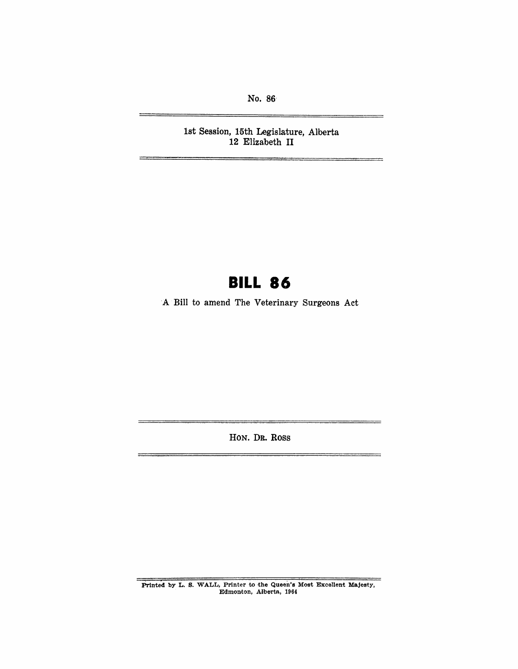No. 86-

1st Session, 15th Legislature, Alberta 12 Elizabeth II

# **BILL 86**

-A Bill to amend The Veterinary Surgeons Act

HON. DR. Ross

PrInted by L. S. WALL, Printer to the Queen's Most Excellent Majesty, Edmonton, Alberta, 1964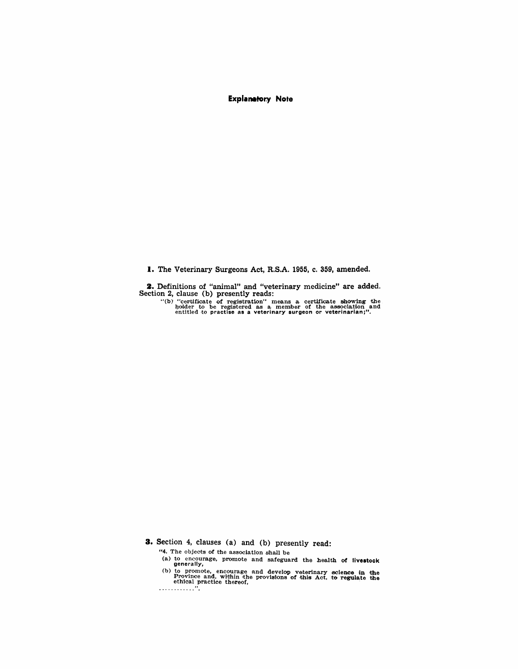**Explanatory Note** 

**1.** The Veterinary Surgeons Act, R.S.A. 1955, c. 359, amended.

**2.** Definitions of "animal" and "veterinary medicine" are added. Section 2, clause (b) presently reads:

"(b) "certificate of registration" means a certificate showing the holder to be registered as a member of the association and entitled to practise as a veterinary surgeon or veterinarian;".

**3.** Section 4, clauses (a) and (b) presently read:

"4. The objects of the association shall be

(a) to encourage, promote and safeguard the health of livestock generally,

(b) to promote, encourage and develop veterinary science in the Province and, within the provisions of this Act, to regulate the ethical practice thereof,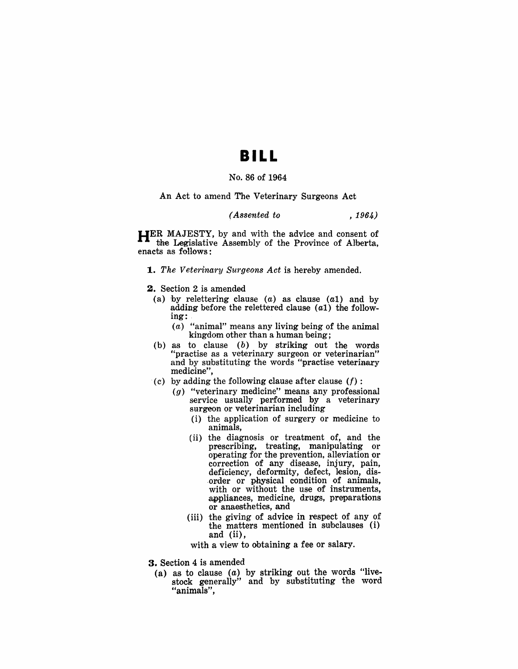## **BILL**

## No. 86 of 1964

An Act to amend The Veterinary Surgeons Act

### *(Assented to* , 1964)

HER MAJESTY, by and with the advice and consent of the Legislative Assembly of the Province of Alberta, enacts as follows:

*1. The Veterinary Surgeons Act* is hereby amended.

- 2. Section 2 is amended
	- (a) by relettering clause (a) as clause (a1) and by adding before the relettered clause  $(a1)$  the following: .
		- (a) "animal" means any living being of the animal kingdom other than a human being;
	- (b) as to clause (b) by striking out the words "practise as a veterinary surgeon or veterinarian" and by substituting the words "practise veterinary medicine",
- (c) by adding the following clause after clause *(I)* :
	- $(g)$  "veterinary medicine" means any professional service usually performed by a veterinary surgeon or veterinarian including
		- (i) the application of surgery or medicine to animals,
		- (ii) the diagnosis or treatment of, and the prescribing, treating, manipulating or operating for the prevention, alleviation or correction of any disease, injury, pain, deficiency, deformity, defect, lesion, dis order or physical condition of animals, with or without the use of instruments, appliances, medicine, drugs, preparations or anaesthetics, and
		- (iii) the giving of advice in respect of any of the matters mentioned in suhclauses (i) and (ii),

with a view to obtaining a fee or salary.

- 3. Section 4 is amended
	- (a) as to clause  $(a)$  by striking out the words "livestock generally" and by substituting the word "animals",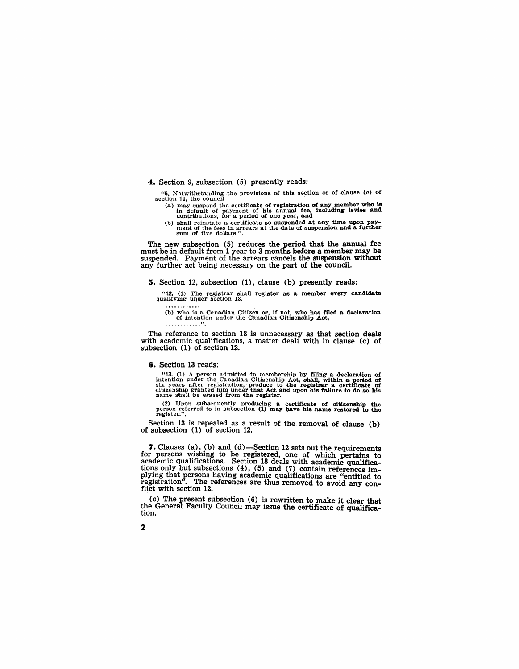### 4. Section 9, subsection (5) presently reads:

"5. Notwithstanding the provisions of this section or of clause (c) of section 14, the council

(a) may suspend the certificate of registration of any member who is in default of payment of his annual fee, including levies and contributions, for a period of one year, and

(b) shall reinstate a certificate so suspended at any time upon pay-<br>ment of the fees in arrears at the date of suspension and a further<br>sum of five dollars.".

The new subsection (5) reduces the period that the annual fee must be in default from 1 year to 3 months before a member may be suspended. Payment of the arrears cancels the suspension without any further act being necessary on the part of the council.

#### s. Section 12, subsection (1), clause (b) presently reads:

"12.  $(1)$  The registrar shall register as a member every candidate qualifying under section 18, . . . . . . . . . . .

(b) who is a Canadian Citizen or, if not, who has filed a declaration of intention under the Canadian Citizenship Act, ............. "

The reference to section 18 is unnecessary as that section deals with academic qualifications, a matter dealt with in clause (c) of subsection (1) of section 12.

#### 6. Section 13 reads:

"13. (1) A person admitted to membership by filing a declaration of intention under the Canadian Citizenship Act, shall, within a period of  $\sin x$  years after registration, produce to the registrar a certificate of citizen

(2) Upon subsequently producing a certificate of citizenship the person referred to in subsection (1) may have his name restored to the register.".

Section 13 is repealed as a result of the removal of clause (b) of subsection (1) of section 12.

7. Clauses (a), (b) and (d)-Section 12 sets out the requirements for persons wishing to be registered, one of which pertains to academic qualifications. Section 18 deals with academic qualifications only but subsections  $(4)$ ,  $(5)$  and  $(7)$  contain references implying that persons having academic qualifications are "entitled to registration". The references are thus removed to avoid any con-<br>flict with section 12.

(c) The present subsection (6) is rewritten to make it clear that the General Faculty Council may issue the certificate of qualification.

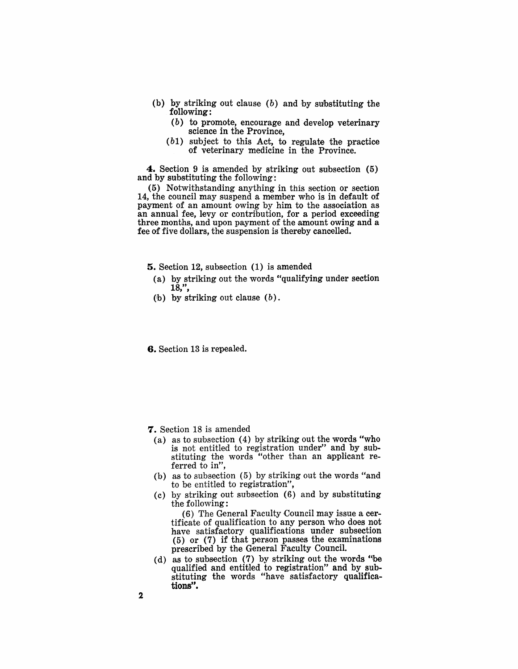- (b) by striking out clause (b) and by substituting the following:
	- (b) to promote, encourage and develop veterinary science in the Province,
	- (b1) subject to this Act, to regulate the practice of veterinary medicine in the Province.

4. Section 9 is amended by striking out subsection (5) and by substituting the following·:

(5) Notwithstanding anything in this section or section 14, the council may suspend a member who is in default of payment of an amount owing by him to the association as an annual fee, levy or contribution, for a period exceeding three months, and upon payment of the amount owing and a fee of five dollars, the suspension is thereby cancelled.

5. Section 12, subsection (1) is amended

- (a) by striking out the words "qualifying under section  $18,$ ",
- (b) by striking out clause  $(b)$ .

6. Section 13 is repealed.

- 7. Section 18 is amended
	- (a) as to subsection (4) by striking out the words "who is not entitled to registration under" and by substituting the words "other than an applicant referred to in",
	- (b) as to subsection (5) by striking out the words "and to be entitled to registration",
	- (c) by striking out subsection (6) and by substituting the following:

(6) The General Faculty Council may issue a certificate of qualification to any person who does not have satisfactory qualifications under subsection (5) or (7) if that person passes the examinations prescribed by the General Faculty Council.

(d) as to subsection (7) by striking out the words "be qualified and entitled to registration" and by substituting the words "have satisfactory qualifications".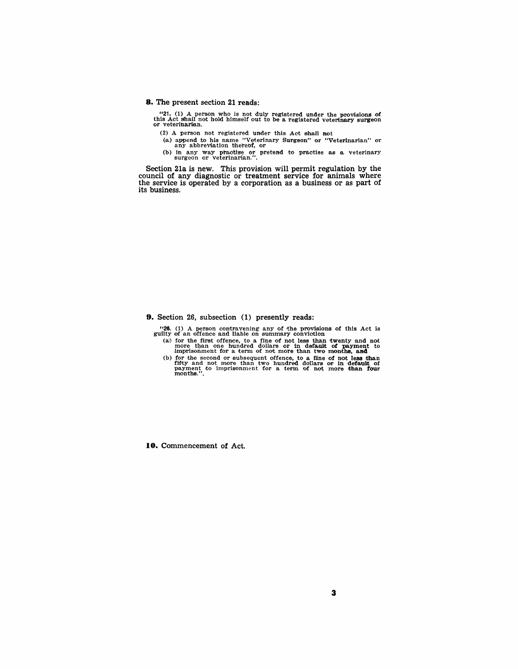#### **8.** The present section 21 reads:

"21. (1) A person who is not duly registered under the provisions of this Act shall not hold himself out to be a registered veterinary surgeon or veterinarian.

- (2) A person not registered under this Act shall not
- (a) append to his name "Veterinary Surgeon" or "Veterinarian" or any abbreviation thereof, or
- (b) in any way practise or pretend to practise as a veterinary surgeon or veterinarian.".

Section 21a is new. This provision will permit regulation by the council of any diagnostic or treatment service for animals where the service is operated by a corporation as a business or as part of its business.

**9.** Section 26, subsection (1) presently reads:

"26. (1) A person contravening any of the provisions of this Act is guilty of an offence and liable on summary conviction

- (a) for the first offence, to a fine of not less than twenty and not more than one hundred dollars or in default of payment to imprisonment for a term of not more than two months, and
- (b) for the second or subsequent offence, to a fine of not less than fifty and not more than two hundred dollars or in default of payment to imprisonment for a term of not more than four months.".

**10.** Commencement of Act.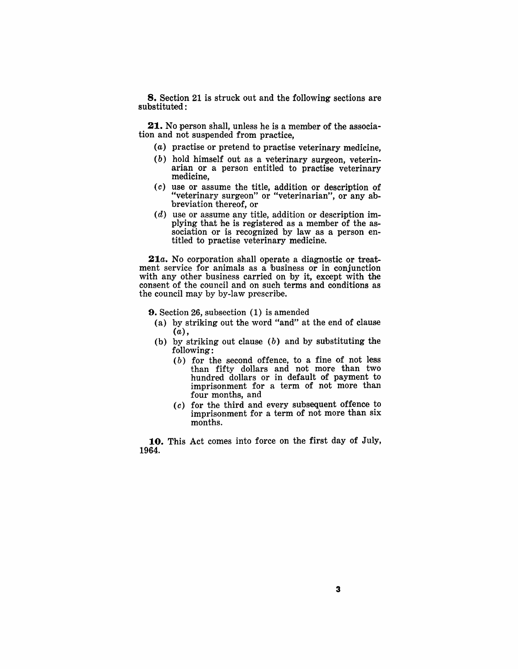8. Section 21 is struck out and the following sections are substituted:

21. No person shall, unless he is a member of the association and not suspended from practice,

- (a) practise or pretend to practise veterinary medicine,
- (b) hold himself out as a veterinary surgeon, veterinarian or a person entitled to practise veterinary medicine,
- $(c)$  use or assume the title, addition or description of "veterinary surgeon" or "veterinarian", or any abbreviation thereof, or
- $(d)$  use or assume any title, addition or description implying that he is registered as a member of the association or is recognized by law as a person entitled to practise veterinary medicine.

*21a.* No corporation shall operate a diagnostic or treatment service for animals as a business or in conjunction with any other business carried on by it, except with the consent of the council and on such terms and conditions as the council may by by-law prescribe.

9. Section 26, subsection (1) is amended

- (a) by striking out the word "and" at the end of clause (a),
- (b) by striking out clause (b) and by substituting the following:
	- $(b)$  for the second offence, to a fine of not less than fifty dollars and not more than two hundred dollars or in default of payment to imprisonment for a term of not more than four months, and
	- ( *c* ) for the third and every subsequent offence to imprisonment for a term of not more than six months.

10. This Act comes into force on the first day of July, 1964.